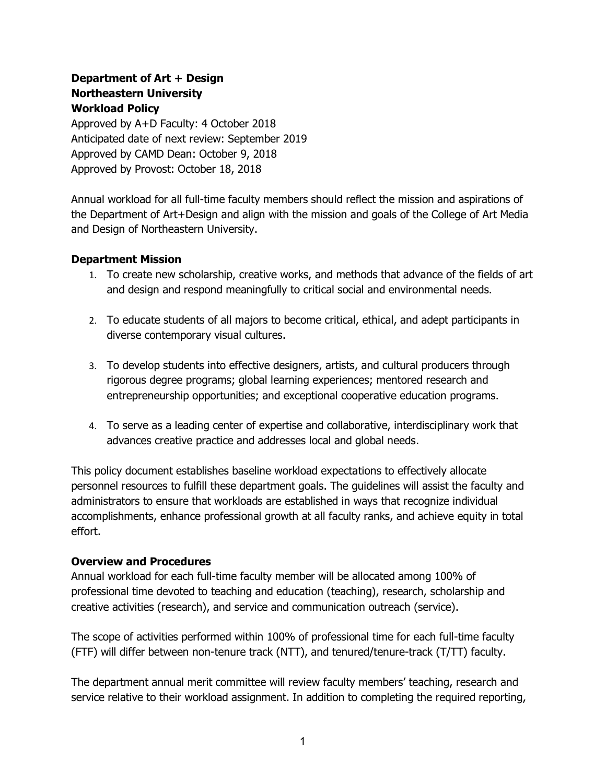## **Department of Art + Design Northeastern University Workload Policy**

Approved by A+D Faculty: 4 October 2018 Anticipated date of next review: September 2019 Approved by CAMD Dean: October 9, 2018 Approved by Provost: October 18, 2018

Annual workload for all full-time faculty members should reflect the mission and aspirations of the Department of Art+Design and align with the mission and goals of the College of Art Media and Design of Northeastern University.

### **Department Mission**

- 1. To create new scholarship, creative works, and methods that advance of the fields of art and design and respond meaningfully to critical social and environmental needs.
- 2. To educate students of all majors to become critical, ethical, and adept participants in diverse contemporary visual cultures.
- 3. To develop students into effective designers, artists, and cultural producers through rigorous degree programs; global learning experiences; mentored research and entrepreneurship opportunities; and exceptional cooperative education programs.
- 4. To serve as a leading center of expertise and collaborative, interdisciplinary work that advances creative practice and addresses local and global needs.

This policy document establishes baseline workload expectations to effectively allocate personnel resources to fulfill these department goals. The guidelines will assist the faculty and administrators to ensure that workloads are established in ways that recognize individual accomplishments, enhance professional growth at all faculty ranks, and achieve equity in total effort.

### **Overview and Procedures**

Annual workload for each full-time faculty member will be allocated among 100% of professional time devoted to teaching and education (teaching), research, scholarship and creative activities (research), and service and communication outreach (service).

The scope of activities performed within 100% of professional time for each full-time faculty (FTF) will differ between non-tenure track (NTT), and tenured/tenure-track (T/TT) faculty.

The department annual merit committee will review faculty members' teaching, research and service relative to their workload assignment. In addition to completing the required reporting,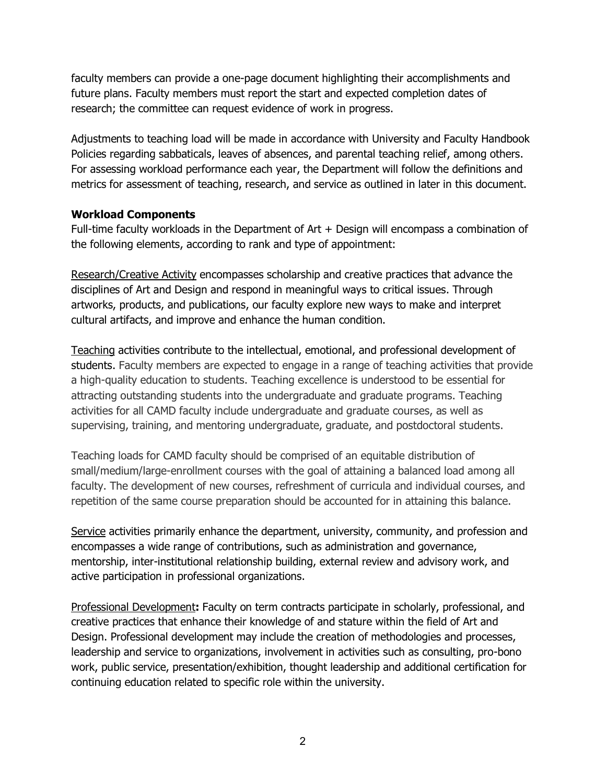faculty members can provide a one-page document highlighting their accomplishments and future plans. Faculty members must report the start and expected completion dates of research; the committee can request evidence of work in progress.

Adjustments to teaching load will be made in accordance with University and Faculty Handbook Policies regarding sabbaticals, leaves of absences, and parental teaching relief, among others. For assessing workload performance each year, the Department will follow the definitions and metrics for assessment of teaching, research, and service as outlined in later in this document.

### **Workload Components**

Full-time faculty workloads in the Department of Art + Design will encompass a combination of the following elements, according to rank and type of appointment:

Research/Creative Activity encompasses scholarship and creative practices that advance the disciplines of Art and Design and respond in meaningful ways to critical issues. Through artworks, products, and publications, our faculty explore new ways to make and interpret cultural artifacts, and improve and enhance the human condition.

Teaching activities contribute to the intellectual, emotional, and professional development of students. Faculty members are expected to engage in a range of teaching activities that provide a high-quality education to students. Teaching excellence is understood to be essential for attracting outstanding students into the undergraduate and graduate programs. Teaching activities for all CAMD faculty include undergraduate and graduate courses, as well as supervising, training, and mentoring undergraduate, graduate, and postdoctoral students.

Teaching loads for CAMD faculty should be comprised of an equitable distribution of small/medium/large-enrollment courses with the goal of attaining a balanced load among all faculty. The development of new courses, refreshment of curricula and individual courses, and repetition of the same course preparation should be accounted for in attaining this balance.

Service activities primarily enhance the department, university, community, and profession and encompasses a wide range of contributions, such as administration and governance, mentorship, inter-institutional relationship building, external review and advisory work, and active participation in professional organizations.

Professional Development**:** Faculty on term contracts participate in scholarly, professional, and creative practices that enhance their knowledge of and stature within the field of Art and Design. Professional development may include the creation of methodologies and processes, leadership and service to organizations, involvement in activities such as consulting, pro-bono work, public service, presentation/exhibition, thought leadership and additional certification for continuing education related to specific role within the university.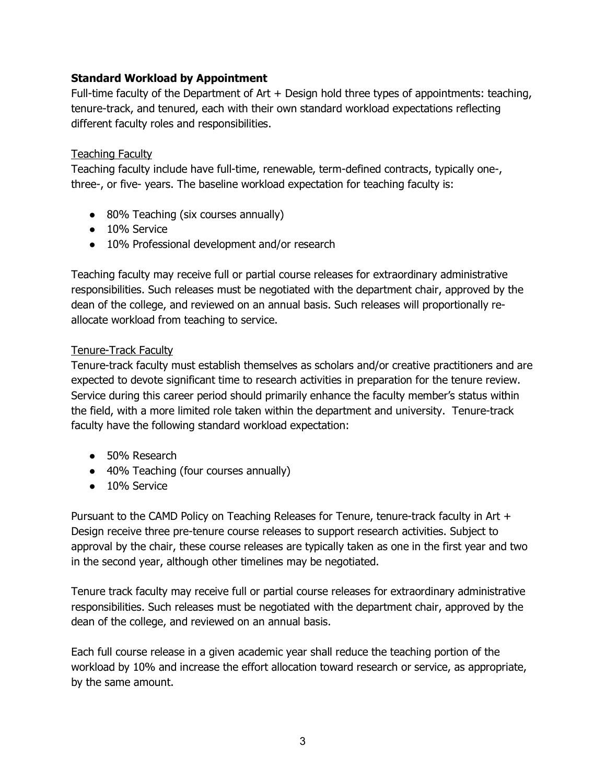### **Standard Workload by Appointment**

Full-time faculty of the Department of Art + Design hold three types of appointments: teaching, tenure-track, and tenured, each with their own standard workload expectations reflecting different faculty roles and responsibilities.

### Teaching Faculty

Teaching faculty include have full-time, renewable, term-defined contracts, typically one-, three-, or five- years. The baseline workload expectation for teaching faculty is:

- 80% Teaching (six courses annually)
- 10% Service
- 10% Professional development and/or research

Teaching faculty may receive full or partial course releases for extraordinary administrative responsibilities. Such releases must be negotiated with the department chair, approved by the dean of the college, and reviewed on an annual basis. Such releases will proportionally reallocate workload from teaching to service.

### Tenure-Track Faculty

Tenure-track faculty must establish themselves as scholars and/or creative practitioners and are expected to devote significant time to research activities in preparation for the tenure review. Service during this career period should primarily enhance the faculty member's status within the field, with a more limited role taken within the department and university. Tenure-track faculty have the following standard workload expectation:

- 50% Research
- 40% Teaching (four courses annually)
- 10% Service

Pursuant to the CAMD Policy on Teaching Releases for Tenure, tenure-track faculty in Art + Design receive three pre-tenure course releases to support research activities. Subject to approval by the chair, these course releases are typically taken as one in the first year and two in the second year, although other timelines may be negotiated.

Tenure track faculty may receive full or partial course releases for extraordinary administrative responsibilities. Such releases must be negotiated with the department chair, approved by the dean of the college, and reviewed on an annual basis.

Each full course release in a given academic year shall reduce the teaching portion of the workload by 10% and increase the effort allocation toward research or service, as appropriate, by the same amount.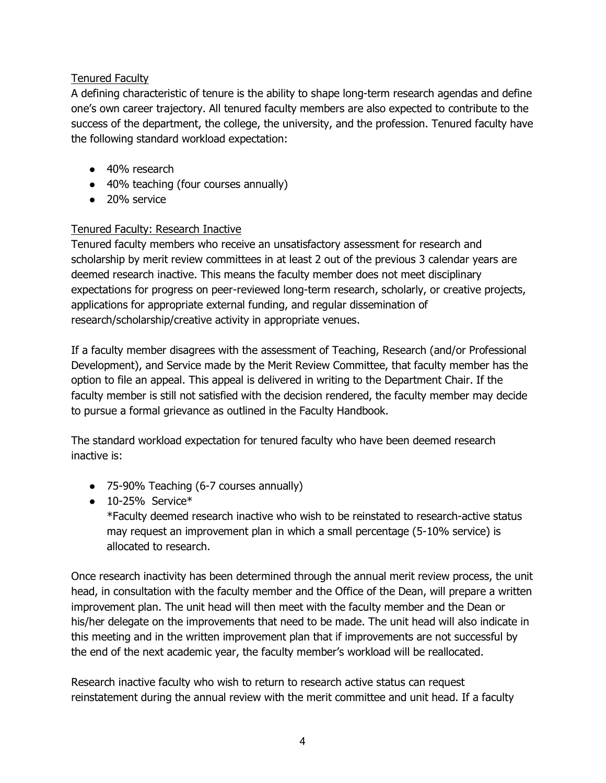# Tenured Faculty

A defining characteristic of tenure is the ability to shape long-term research agendas and define one's own career trajectory. All tenured faculty members are also expected to contribute to the success of the department, the college, the university, and the profession. Tenured faculty have the following standard workload expectation:

- 40% research
- 40% teaching (four courses annually)
- 20% service

# Tenured Faculty: Research Inactive

Tenured faculty members who receive an unsatisfactory assessment for research and scholarship by merit review committees in at least 2 out of the previous 3 calendar years are deemed research inactive. This means the faculty member does not meet disciplinary expectations for progress on peer-reviewed long-term research, scholarly, or creative projects, applications for appropriate external funding, and regular dissemination of research/scholarship/creative activity in appropriate venues.

If a faculty member disagrees with the assessment of Teaching, Research (and/or Professional Development), and Service made by the Merit Review Committee, that faculty member has the option to file an appeal. This appeal is delivered in writing to the Department Chair. If the faculty member is still not satisfied with the decision rendered, the faculty member may decide to pursue a formal grievance as outlined in the Faculty Handbook.

The standard workload expectation for tenured faculty who have been deemed research inactive is:

- 75-90% Teaching (6-7 courses annually)
- $\bullet$  10-25% Service\*

\*Faculty deemed research inactive who wish to be reinstated to research-active status may request an improvement plan in which a small percentage (5-10% service) is allocated to research.

Once research inactivity has been determined through the annual merit review process, the unit head, in consultation with the faculty member and the Office of the Dean, will prepare a written improvement plan. The unit head will then meet with the faculty member and the Dean or his/her delegate on the improvements that need to be made. The unit head will also indicate in this meeting and in the written improvement plan that if improvements are not successful by the end of the next academic year, the faculty member's workload will be reallocated.

Research inactive faculty who wish to return to research active status can request reinstatement during the annual review with the merit committee and unit head. If a faculty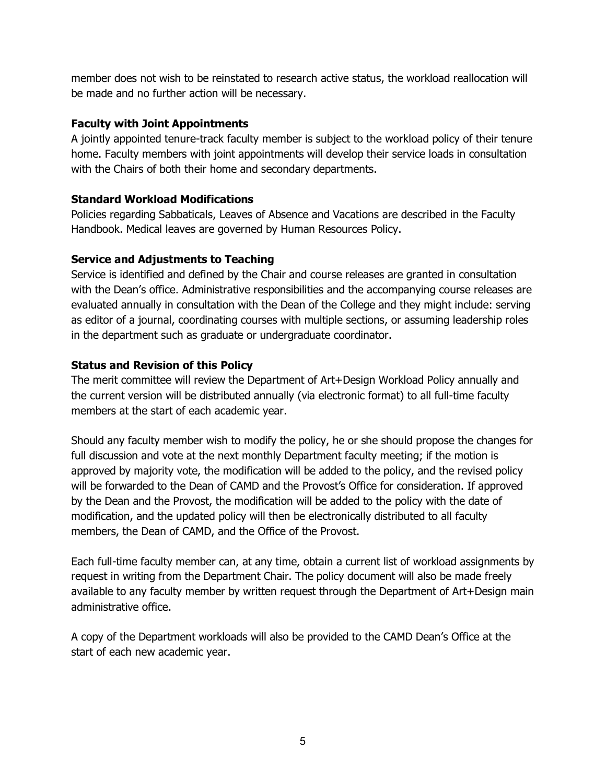member does not wish to be reinstated to research active status, the workload reallocation will be made and no further action will be necessary.

## **Faculty with Joint Appointments**

A jointly appointed tenure-track faculty member is subject to the workload policy of their tenure home. Faculty members with joint appointments will develop their service loads in consultation with the Chairs of both their home and secondary departments.

## **Standard Workload Modifications**

Policies regarding Sabbaticals, Leaves of Absence and Vacations are described in the Faculty Handbook. Medical leaves are governed by Human Resources Policy.

# **Service and Adjustments to Teaching**

Service is identified and defined by the Chair and course releases are granted in consultation with the Dean's office. Administrative responsibilities and the accompanying course releases are evaluated annually in consultation with the Dean of the College and they might include: serving as editor of a journal, coordinating courses with multiple sections, or assuming leadership roles in the department such as graduate or undergraduate coordinator.

## **Status and Revision of this Policy**

The merit committee will review the Department of Art+Design Workload Policy annually and the current version will be distributed annually (via electronic format) to all full-time faculty members at the start of each academic year.

Should any faculty member wish to modify the policy, he or she should propose the changes for full discussion and vote at the next monthly Department faculty meeting; if the motion is approved by majority vote, the modification will be added to the policy, and the revised policy will be forwarded to the Dean of CAMD and the Provost's Office for consideration. If approved by the Dean and the Provost, the modification will be added to the policy with the date of modification, and the updated policy will then be electronically distributed to all faculty members, the Dean of CAMD, and the Office of the Provost.

Each full-time faculty member can, at any time, obtain a current list of workload assignments by request in writing from the Department Chair. The policy document will also be made freely available to any faculty member by written request through the Department of Art+Design main administrative office.

A copy of the Department workloads will also be provided to the CAMD Dean's Office at the start of each new academic year.